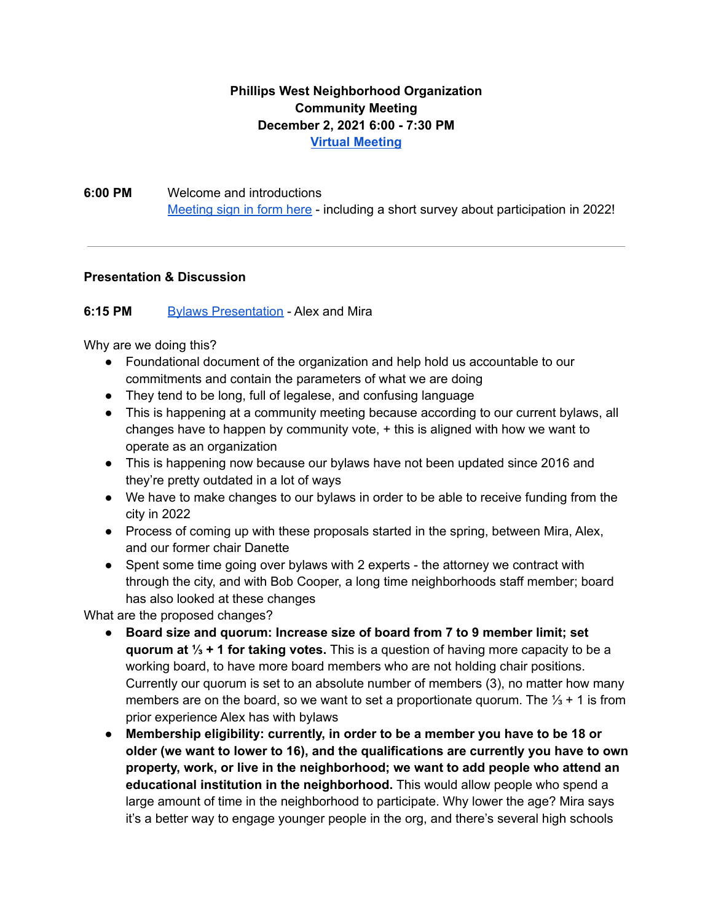## **Phillips West Neighborhood Organization Community Meeting December 2, 2021 6:00 - 7:30 PM Virtual [Meeting](https://meet.google.com/ycg-yuky-fhi)**

**6:00 PM** Welcome and introductions [Meeting](https://forms.gle/SV3abUuPtUg3BuVw6) sign in form here - including a short survey about participation in 2022!

## **Presentation & Discussion**

## **6:15 PM** Bylaws [Presentation](https://docs.google.com/presentation/d/1zkWeX86d6t_4L-7QId5vB00lIGwIQPNFMogtD7vCciY/edit?usp=sharing) - Alex and Mira

Why are we doing this?

- Foundational document of the organization and help hold us accountable to our commitments and contain the parameters of what we are doing
- They tend to be long, full of legalese, and confusing language
- This is happening at a community meeting because according to our current bylaws, all changes have to happen by community vote, + this is aligned with how we want to operate as an organization
- This is happening now because our bylaws have not been updated since 2016 and they're pretty outdated in a lot of ways
- We have to make changes to our bylaws in order to be able to receive funding from the city in 2022
- Process of coming up with these proposals started in the spring, between Mira, Alex, and our former chair Danette
- Spent some time going over bylaws with 2 experts the attorney we contract with through the city, and with Bob Cooper, a long time neighborhoods staff member; board has also looked at these changes

What are the proposed changes?

- **Board size and quorum: Increase size of board from 7 to 9 member limit; set quorum at ⅓ + 1 for taking votes.** This is a question of having more capacity to be a working board, to have more board members who are not holding chair positions. Currently our quorum is set to an absolute number of members (3), no matter how many members are on the board, so we want to set a proportionate quorum. The  $\frac{1}{3}$  + 1 is from prior experience Alex has with bylaws
- **Membership eligibility: currently, in order to be a member you have to be 18 or older (we want to lower to 16), and the qualifications are currently you have to own property, work, or live in the neighborhood; we want to add people who attend an educational institution in the neighborhood.** This would allow people who spend a large amount of time in the neighborhood to participate. Why lower the age? Mira says it's a better way to engage younger people in the org, and there's several high schools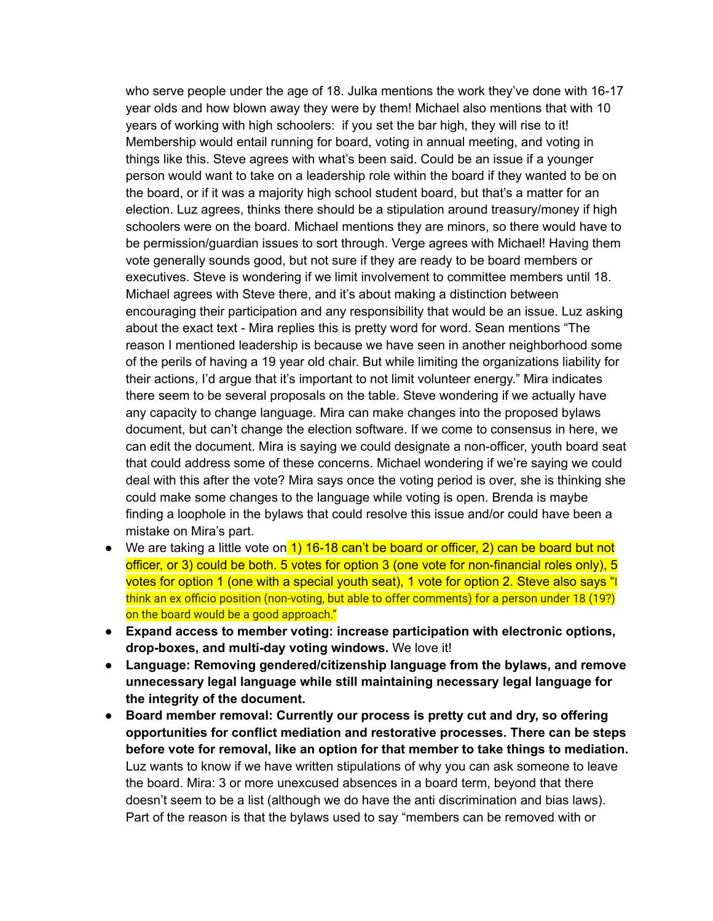who serve people under the age of 18. Julka mentions the work they've done with 16-17 year olds and how blown away they were by them! Michael also mentions that with 10 years of working with high schoolers: if you set the bar high, they will rise to it! Membership would entail running for board, voting in annual meeting, and voting in things like this. Steve agrees with what's been said. Could be an issue if a younger person would want to take on a leadership role within the board if they wanted to be on the board, or if it was a majority high school student board, but that's a matter for an election. Luz agrees, thinks there should be a stipulation around treasury/money if high schoolers were on the board. Michael mentions they are minors, so there would have to be permission/guardian issues to sort through. Verge agrees with Michael! Having them vote generally sounds good, but not sure if they are ready to be board members or executives. Steve is wondering if we limit involvement to committee members until 18. Michael agrees with Steve there, and it's about making a distinction between encouraging their participation and any responsibility that would be an issue. Luz asking about the exact text - Mira replies this is pretty word for word. Sean mentions "The reason I mentioned leadership is because we have seen in another neighborhood some of the perils of having a 19 year old chair. But while limiting the organizations liability for their actions, I'd argue that it's important to not limit volunteer energy." Mira indicates there seem to be several proposals on the table. Steve wondering if we actually have any capacity to change language. Mira can make changes into the proposed bylaws document, but can't change the election software. If we come to consensus in here, we can edit the document. Mira is saying we could designate a non-officer, youth board seat that could address some of these concerns. Michael wondering if we're saying we could deal with this after the vote? Mira says once the voting period is over, she is thinking she could make some changes to the language while voting is open. Brenda is maybe finding a loophole in the bylaws that could resolve this issue and/or could have been a mistake on Mira's part.

- We are taking a little vote on 1) 16-18 can't be board or officer, 2) can be board but not officer, or 3) could be both. 5 votes for option 3 (one vote for non-financial roles only), 5 votes for option 1 (one with a special youth seat), 1 vote for option 2. Steve also says "I think an ex officio position (non-voting, but able to offer comments) for a person under 18 (19?) on the board would be a good approach."
- **Expand access to member voting: increase participation with electronic options, drop-boxes, and multi-day voting windows.** We love it!
- **● Language: Removing gendered/citizenship language from the bylaws, and remove unnecessary legal language while still maintaining necessary legal language for the integrity of the document.**
- **Board member removal: Currently our process is pretty cut and dry, so offering opportunities for conflict mediation and restorative processes. There can be steps before vote for removal, like an option for that member to take things to mediation.** Luz wants to know if we have written stipulations of why you can ask someone to leave the board. Mira: 3 or more unexcused absences in a board term, beyond that there doesn't seem to be a list (although we do have the anti discrimination and bias laws). Part of the reason is that the bylaws used to say "members can be removed with or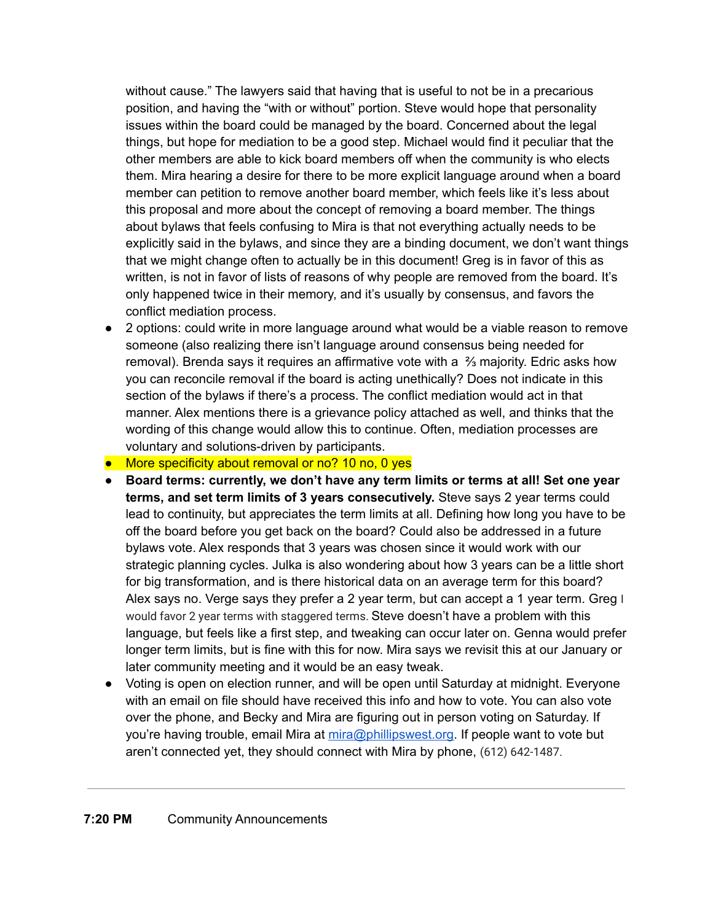without cause." The lawyers said that having that is useful to not be in a precarious position, and having the "with or without" portion. Steve would hope that personality issues within the board could be managed by the board. Concerned about the legal things, but hope for mediation to be a good step. Michael would find it peculiar that the other members are able to kick board members off when the community is who elects them. Mira hearing a desire for there to be more explicit language around when a board member can petition to remove another board member, which feels like it's less about this proposal and more about the concept of removing a board member. The things about bylaws that feels confusing to Mira is that not everything actually needs to be explicitly said in the bylaws, and since they are a binding document, we don't want things that we might change often to actually be in this document! Greg is in favor of this as written, is not in favor of lists of reasons of why people are removed from the board. It's only happened twice in their memory, and it's usually by consensus, and favors the conflict mediation process.

● 2 options: could write in more language around what would be a viable reason to remove someone (also realizing there isn't language around consensus being needed for removal). Brenda says it requires an affirmative vote with a ⅔ majority. Edric asks how you can reconcile removal if the board is acting unethically? Does not indicate in this section of the bylaws if there's a process. The conflict mediation would act in that manner. Alex mentions there is a grievance policy attached as well, and thinks that the wording of this change would allow this to continue. Often, mediation processes are voluntary and solutions-driven by participants.

## ● More specificity about removal or no? 10 no, 0 yes

- **● Board terms: currently, we don't have any term limits or terms at all! Set one year terms, and set term limits of 3 years consecutively.** Steve says 2 year terms could lead to continuity, but appreciates the term limits at all. Defining how long you have to be off the board before you get back on the board? Could also be addressed in a future bylaws vote. Alex responds that 3 years was chosen since it would work with our strategic planning cycles. Julka is also wondering about how 3 years can be a little short for big transformation, and is there historical data on an average term for this board? Alex says no. Verge says they prefer a 2 year term, but can accept a 1 year term. Greg I would favor 2 year terms with staggered terms. Steve doesn't have a problem with this language, but feels like a first step, and tweaking can occur later on. Genna would prefer longer term limits, but is fine with this for now. Mira says we revisit this at our January or later community meeting and it would be an easy tweak.
- Voting is open on election runner, and will be open until Saturday at midnight. Everyone with an email on file should have received this info and how to vote. You can also vote over the phone, and Becky and Mira are figuring out in person voting on Saturday. If you're having trouble, email Mira at [mira@phillipswest.org.](mailto:mira@phillipswest.org) If people want to vote but aren't connected yet, they should connect with Mira by phone, (612) 642-1487.